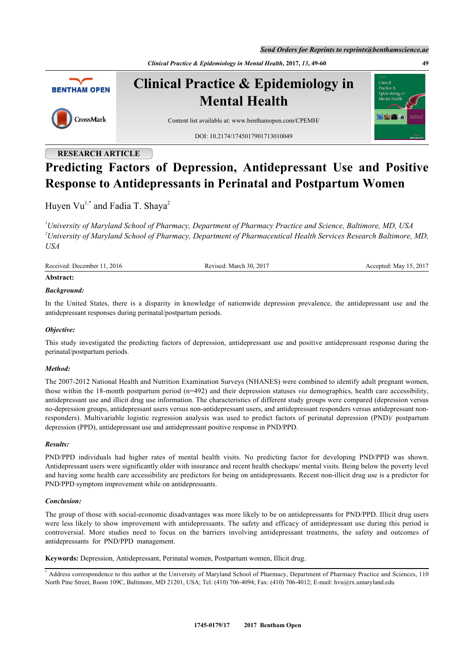*Send Orders for Reprints to reprints@benthamscience.ae*

*Clinical Practice & Epidemiology in Mental Health***, 2017,** *13***, 49-60 49**



**Clinical Practice & Epidemiology in Mental Health**

DOI: [10.2174/1745017901713010049](http://dx.doi.org/10.2174/1745017901713010049)





# **RESEARCH ARTICLE**

CrossMark

# **Predicting Factors of Depression, Antidepressant Use and Positive Response to Antidepressants in Perinatal and Postpartum Women**

Huyen Vu<sup>[1,](#page-0-0)[\\*](#page-0-1)</sup> and Fadia T. Shaya<sup>[2](#page-0-2)</sup>

<span id="page-0-2"></span><span id="page-0-0"></span>*<sup>1</sup>University of Maryland School of Pharmacy, Department of Pharmacy Practice and Science, Baltimore, MD, USA <sup>2</sup>University of Maryland School of Pharmacy, Department of Pharmaceutical Health Services Research Baltimore, MD, USA*

Received: December 11, 2016 Revised: March 30, 2017 Accepted: May 15, 2017

# **Abstract:**

# *Background:*

In the United States, there is a disparity in knowledge of nationwide depression prevalence, the antidepressant use and the antidepressant responses during perinatal/postpartum periods.

# *Objective:*

This study investigated the predicting factors of depression, antidepressant use and positive antidepressant response during the perinatal/postpartum periods.

# *Method:*

The 2007-2012 National Health and Nutrition Examination Surveys (NHANES) were combined to identify adult pregnant women, those within the 18-month postpartum period (n=492) and their depression statuses *via* demographics, health care accessibility, antidepressant use and illicit drug use information. The characteristics of different study groups were compared (depression versus no-depression groups, antidepressant users versus non-antidepressant users, and antidepressant responders versus antidepressant nonresponders). Multivariable logistic regression analysis was used to predict factors of perinatal depression (PND)/ postpartum depression (PPD), antidepressant use and antidepressant positive response in PND/PPD.

## *Results:*

PND/PPD individuals had higher rates of mental health visits. No predicting factor for developing PND/PPD was shown. Antidepressant users were significantly older with insurance and recent health checkups/ mental visits. Being below the poverty level and having some health care accessibility are predictors for being on antidepressants. Recent non-illicit drug use is a predictor for PND/PPD symptom improvement while on antidepressants.

# *Conclusion:*

The group of those with social-economic disadvantages was more likely to be on antidepressants for PND/PPD. Illicit drug users were less likely to show improvement with antidepressants. The safety and efficacy of antidepressant use during this period is controversial. More studies need to focus on the barriers involving antidepressant treatments, the safety and outcomes of antidepressants for PND/PPD management.

**Keywords:** Depression, Antidepressant, Perinatal women, Postpartum women, Illicit drug.

<span id="page-0-1"></span><sup>\*</sup> Address correspondence to this author at the University of Maryland School of Pharmacy, Department of Pharmacy Practice and Sciences, 110 North Pine Street, Room 109C, Baltimore, MD 21201, USA; Tel: (410) 706-4094; Fax: (410) 706-4012; E-mail: [hvu@rx.umaryland.edu](mailto:hvu@rx.umaryland.edu)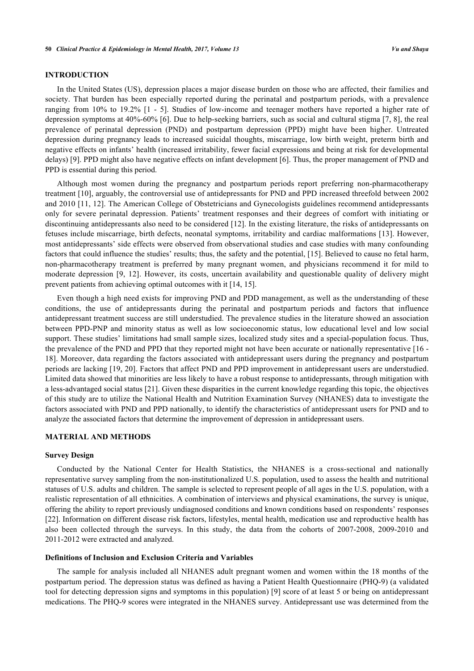# **INTRODUCTION**

In the United States (US), depression places a major disease burden on those who are affected, their families and society. That burden has been especially reported during the perinatal and postpartum periods, with a prevalence ranging from 10% to 19.2% [\[1](#page-9-0) - [5](#page-10-0)]. Studies of low-income and teenager mothers have reported a higher rate of depression symptoms at 40%-60% [\[6](#page-10-1)]. Due to help-seeking barriers, such as social and cultural stigma [[7,](#page-10-2) [8](#page-10-3)], the real prevalence of perinatal depression (PND) and postpartum depression (PPD) might have been higher. Untreated depression during pregnancy leads to increased suicidal thoughts, miscarriage, low birth weight, preterm birth and negative effects on infants' health (increased irritability, fewer facial expressions and being at risk for developmental delays) [[9\]](#page-10-4). PPD might also have negative effects on infant development [[6\]](#page-10-1). Thus, the proper management of PND and PPD is essential during this period.

Although most women during the pregnancy and postpartum periods report preferring non-pharmacotherapy treatment [\[10](#page-10-5)], arguably, the controversial use of antidepressants for PND and PPD increased threefold between 2002 and 2010 [\[11](#page-10-6), [12](#page-10-7)]. The American College of Obstetricians and Gynecologists guidelines recommend antidepressants only for severe perinatal depression. Patients' treatment responses and their degrees of comfort with initiating or discontinuing antidepressants also need to be considered [\[12\]](#page-10-7). In the existing literature, the risks of antidepressants on fetuses include miscarriage, birth defects, neonatal symptoms, irritability and cardiac malformations [\[13\]](#page-10-8). However, most antidepressants' side effects were observed from observational studies and case studies with many confounding factors that could influence the studies' results; thus, the safety and the potential, [[15\]](#page-10-9). Believed to cause no fetal harm, non-pharmacotherapy treatment is preferred by many pregnant women, and physicians recommend it for mild to moderate depression[[9,](#page-10-4) [12\]](#page-10-7). However, its costs, uncertain availability and questionable quality of delivery might prevent patients from achieving optimal outcomes with it [[14,](#page-10-10) [15\]](#page-10-9).

Even though a high need exists for improving PND and PDD management, as well as the understanding of these conditions, the use of antidepressants during the perinatal and postpartum periods and factors that influence antidepressant treatment success are still understudied. The prevalence studies in the literature showed an association between PPD-PNP and minority status as well as low socioeconomic status, low educational level and low social support. These studies' limitations had small sample sizes, localized study sites and a special-population focus. Thus, the prevalence of the PND and PPD that they reported might not have been accurate or nationally representative [\[16](#page-10-11) - [18\]](#page-10-12). Moreover, data regarding the factors associated with antidepressant users during the pregnancy and postpartum periods are lacking [\[19](#page-10-13), [20\]](#page-10-14). Factors that affect PND and PPD improvement in antidepressant users are understudied. Limited data showed that minorities are less likely to have a robust response to antidepressants, through mitigation with a less-advantaged social status [[21\]](#page-10-15). Given these disparities in the current knowledge regarding this topic, the objectives of this study are to utilize the National Health and Nutrition Examination Survey (NHANES) data to investigate the factors associated with PND and PPD nationally, to identify the characteristics of antidepressant users for PND and to analyze the associated factors that determine the improvement of depression in antidepressant users.

## **MATERIAL AND METHODS**

#### **Survey Design**

Conducted by the National Center for Health Statistics, the NHANES is a cross-sectional and nationally representative survey sampling from the non-institutionalized U.S. population, used to assess the health and nutritional statuses of U.S. adults and children. The sample is selected to represent people of all ages in the U.S. population, with a realistic representation of all ethnicities. A combination of interviews and physical examinations, the survey is unique, offering the ability to report previously undiagnosed conditions and known conditions based on respondents' responses [\[22](#page-10-16)]. Information on different disease risk factors, lifestyles, mental health, medication use and reproductive health has also been collected through the surveys. In this study, the data from the cohorts of 2007-2008, 2009-2010 and 2011-2012 were extracted and analyzed.

### **Definitions of Inclusion and Exclusion Criteria and Variables**

The sample for analysis included all NHANES adult pregnant women and women within the 18 months of the postpartum period. The depression status was defined as having a Patient Health Questionnaire (PHQ-9) (a validated tool for detecting depression signs and symptoms in this population) [[9](#page-10-4)] score of at least 5 or being on antidepressant medications. The PHQ-9 scores were integrated in the NHANES survey. Antidepressant use was determined from the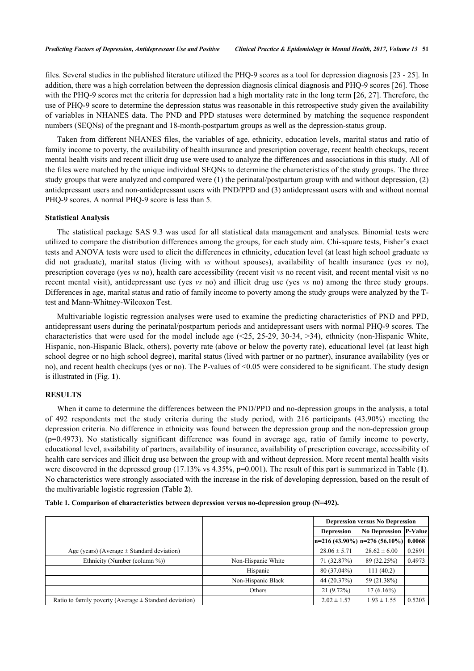files. Several studies in the published literature utilized the PHQ-9 scores as a tool for depression diagnosis [\[23](#page-10-17) - [25\]](#page-10-18). In addition, there was a high correlation between the depression diagnosis clinical diagnosis and PHQ-9 scores [[26\]](#page-11-0). Those with the PHQ-9 scores met the criteria for depression had a high mortality rate in the long term [[26,](#page-11-0) [27\]](#page-11-1). Therefore, the use of PHQ-9 score to determine the depression status was reasonable in this retrospective study given the availability of variables in NHANES data. The PND and PPD statuses were determined by matching the sequence respondent numbers (SEQNs) of the pregnant and 18-month-postpartum groups as well as the depression-status group.

Taken from different NHANES files, the variables of age, ethnicity, education levels, marital status and ratio of family income to poverty, the availability of health insurance and prescription coverage, recent health checkups, recent mental health visits and recent illicit drug use were used to analyze the differences and associations in this study. All of the files were matched by the unique individual SEQNs to determine the characteristics of the study groups. The three study groups that were analyzed and compared were (1) the perinatal/postpartum group with and without depression, (2) antidepressant users and non-antidepressant users with PND/PPD and (3) antidepressant users with and without normal PHQ-9 scores. A normal PHQ-9 score is less than 5.

#### **Statistical Analysis**

The statistical package SAS 9.3 was used for all statistical data management and analyses. Binomial tests were utilized to compare the distribution differences among the groups, for each study aim. Chi-square tests, Fisher's exact tests and ANOVA tests were used to elicit the differences in ethnicity, education level (at least high school graduate *vs* did not graduate), marital status (living with *vs* without spouses), availability of health insurance (yes *vs* no), prescription coverage (yes *vs* no), health care accessibility (recent visit *vs* no recent visit, and recent mental visit *vs* no recent mental visit), antidepressant use (yes *vs* no) and illicit drug use (yes *vs* no) among the three study groups. Differences in age, marital status and ratio of family income to poverty among the study groups were analyzed by the Ttest and Mann-Whitney-Wilcoxon Test.

Multivariable logistic regression analyses were used to examine the predicting characteristics of PND and PPD, antidepressant users during the perinatal/postpartum periods and antidepressant users with normal PHQ-9 scores. The characteristics that were used for the model include age  $(\leq 25, 25-29, 30-34, >34)$ , ethnicity (non-Hispanic White, Hispanic, non-Hispanic Black, others), poverty rate (above or below the poverty rate), educational level (at least high school degree or no high school degree), marital status (lived with partner or no partner), insurance availability (yes or no), and recent health checkups (yes or no). The P-values of <0.05 were considered to be significant. The study design is illustrated in (Fig. **[1](#page-3-0)**).

## **RESULTS**

When it came to determine the differences between the PND/PPD and no-depression groups in the analysis, a total of 492 respondents met the study criteria during the study period, with 216 participants (43.90%) meeting the depression criteria. No difference in ethnicity was found between the depression group and the non-depression group (p=0.4973). No statistically significant difference was found in average age, ratio of family income to poverty, educational level, availability of partners, availability of insurance, availability of prescription coverage, accessibility of health care services and illicit drug use between the group with and without depression. More recent mental health visits were discovered in the depressed group ([1](#page-2-0)7.13% vs 4.35%, p=0.001). The result of this part is summarized in Table (1). No characteristics were strongly associated with the increase in the risk of developing depression, based on the result of the multivariable logistic regression (Table **[2](#page-4-0)**).

<span id="page-2-0"></span>

|  | Table 1. Comparison of characteristics between depression versus no-depression group (N=492). |  |  |  |
|--|-----------------------------------------------------------------------------------------------|--|--|--|
|  |                                                                                               |  |  |  |

|                                                            |                    |                                                   | <b>Depression versus No Depression</b> |        |  |
|------------------------------------------------------------|--------------------|---------------------------------------------------|----------------------------------------|--------|--|
|                                                            |                    | <b>No Depression P-Value</b><br><b>Depression</b> |                                        |        |  |
|                                                            |                    |                                                   | $\ln=216(43.90\%)\ln=276(56.10\%)$     | 0.0068 |  |
| Age (years) (Average $\pm$ Standard deviation)             |                    | $28.06 \pm 5.71$                                  | $28.62 \pm 6.00$                       | 0.2891 |  |
| Ethnicity (Number (column %))                              | Non-Hispanic White | 71 (32.87%)                                       | 89 (32.25%)                            | 0.4973 |  |
|                                                            | Hispanic           | 80 (37.04%)                                       | 111(40.2)                              |        |  |
|                                                            | Non-Hispanic Black | 44 (20.37%)                                       | 59 (21.38%)                            |        |  |
|                                                            | Others             | 21 (9.72%)                                        | $17(6.16\%)$                           |        |  |
| Ratio to family poverty (Average $\pm$ Standard deviation) |                    | $2.02 \pm 1.57$                                   | $1.93 \pm 1.55$                        | 0.5203 |  |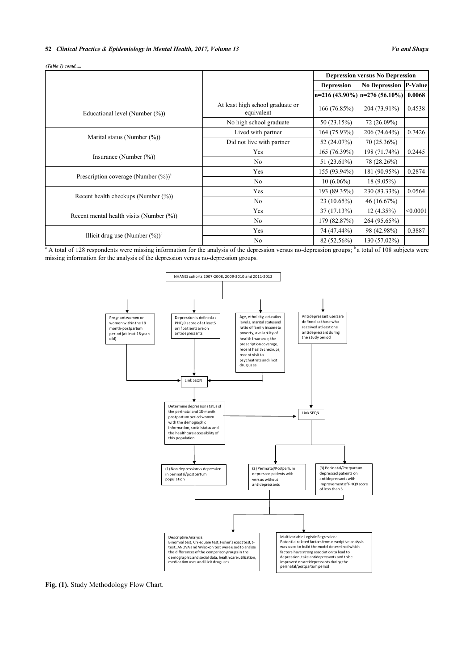#### **52** *Clinical Practice & Epidemiology in Mental Health, 2017, Volume 13 Vu and Shaya*

*(Table 1) contd.....*

|                                                     |                                                | <b>Depression versus No Depression</b> |                                  |          |
|-----------------------------------------------------|------------------------------------------------|----------------------------------------|----------------------------------|----------|
|                                                     |                                                | <b>Depression</b>                      | <b>No Depression P-Value</b>     |          |
|                                                     |                                                |                                        | $n=216(43.90\%) n=276(56.10\%) $ | 0.0068   |
| Educational level (Number $(\%)$ )                  | At least high school graduate or<br>equivalent | 166 (76.85%)                           | 204 (73.91%)                     | 0.4538   |
|                                                     | No high school graduate                        | 50 (23.15%)                            | 72 (26.09%)                      |          |
| Marital status (Number $(\%)$ )                     | Lived with partner                             | 164 (75.93%)                           | 206 (74.64%)                     | 0.7426   |
|                                                     | Did not live with partner                      | 52 (24.07%)                            | 70 (25.36%)                      |          |
|                                                     | Yes                                            | 165(76.39%)                            | 198 (71.74%)                     | 0.2445   |
| Insurance (Number $(\%)$ )                          | No                                             | 51 (23.61%)                            | 78 (28.26%)                      |          |
|                                                     | Yes                                            | 155 (93.94%)                           | 181 (90.95%)                     | 0.2874   |
| Prescription coverage (Number $(\%)$ ) <sup>a</sup> | No                                             | $10(6.06\%)$                           | $18(9.05\%)$                     |          |
|                                                     | Yes                                            | 193 (89.35%)                           | 230 (83.33%)                     | 0.0564   |
| Recent health checkups (Number $(\%)$ )             | N <sub>o</sub>                                 | 23 (10.65%)                            | 46 (16.67%)                      |          |
|                                                     | Yes                                            | 37(17.13%)                             | 12(4.35%)                        | < 0.0001 |
| Recent mental health visits (Number $(\%)$ )        | N <sub>0</sub>                                 | 179 (82.87%)                           | 264 (95.65%)                     |          |
|                                                     | Yes                                            | 74 (47.44%)                            | 98 (42.98%)                      | 0.3887   |
| Illicit drug use (Number $(\%)^b$ )                 | No                                             | 82 (52.56%)                            | 130 (57.02%)                     |          |

<span id="page-3-0"></span><sup>a</sup> A total of 128 respondents were missing information for the analysis of the depression versus no-depression groups; <sup>b</sup>a total of 108 subjects were missing information for the analysis of the depression versus no-depression groups.



Fig. (1). Study Methodology Flow Chart.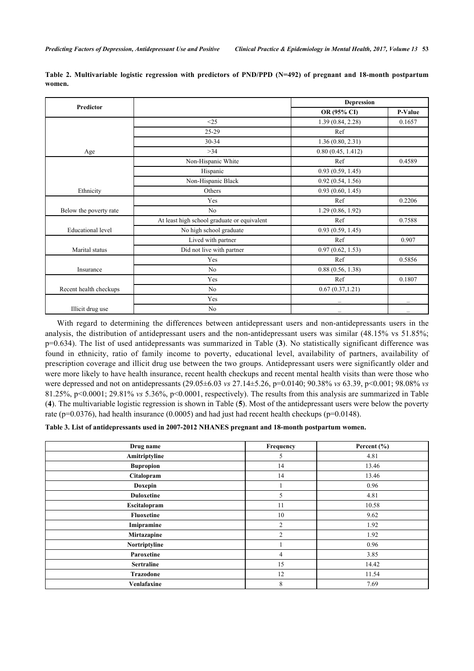| <b>Predictor</b>         |                                             | <b>Depression</b> |         |
|--------------------------|---------------------------------------------|-------------------|---------|
|                          |                                             | OR (95% CI)       | P-Value |
|                          | <25                                         | 1.39(0.84, 2.28)  | 0.1657  |
|                          | 25-29                                       | Ref               |         |
|                          | $30 - 34$                                   | 1.36(0.80, 2.31)  |         |
| Age                      | $>34$                                       | 0.80(0.45, 1.412) |         |
|                          | Non-Hispanic White                          | Ref               | 0.4589  |
|                          | Hispanic                                    | 0.93(0.59, 1.45)  |         |
|                          | Non-Hispanic Black                          | 0.92(0.54, 1.56)  |         |
| Ethnicity                | Others                                      | 0.93(0.60, 1.45)  |         |
|                          | Yes                                         | Ref               | 0.2206  |
| Below the poverty rate   | N <sub>0</sub>                              | 1.29(0.86, 1.92)  |         |
|                          | At least high school graduate or equivalent | Ref               | 0.7588  |
| <b>Educational</b> level | No high school graduate                     | 0.93(0.59, 1.45)  |         |
|                          | Lived with partner                          | Ref               | 0.907   |
| Marital status           | Did not live with partner                   | 0.97(0.62, 1.53)  |         |
|                          | Yes                                         | Ref               | 0.5856  |
| Insurance                | N <sub>0</sub>                              | 0.88(0.56, 1.38)  |         |
|                          | Yes                                         | Ref               | 0.1807  |
| Recent health checkups   | N <sub>0</sub>                              | 0.67(0.37, 1.21)  |         |
|                          | Yes                                         |                   |         |
| Illicit drug use         | No                                          |                   |         |

<span id="page-4-0"></span>**Table 2. Multivariable logistic regression with predictors of PND/PPD (N=492) of pregnant and 18-month postpartum women.**

With regard to determining the differences between antidepressant users and non-antidepressants users in the analysis, the distribution of antidepressant users and the non-antidepressant users was similar (48.15% vs 51.85%; p=0.634). The list of used antidepressants was summarized in Table (**[3](#page-4-1)**). No statistically significant difference was found in ethnicity, ratio of family income to poverty, educational level, availability of partners, availability of prescription coverage and illicit drug use between the two groups. Antidepressant users were significantly older and were more likely to have health insurance, recent health checkups and recent mental health visits than were those who were depressed and not on antidepressants (29.05±6.03 *vs* 27.14±5.26, p=0.0140; 90.38% *vs* 63.39, p<0.001; 98.08% *vs* 81.25%, p<0.0001; 29.81% *vs* 5.36%, p<0.0001, respectively). The results from this analysis are summarized in Table (**[4](#page-5-0)**). The multivariable logistic regression is shown in Table (**[5](#page-5-1)**). Most of the antidepressant users were below the poverty rate (p=0.0376), had health insurance (0.0005) and had just had recent health checkups (p=0.0148).

<span id="page-4-1"></span>**Table 3. List of antidepressants used in 2007-2012 NHANES pregnant and 18-month postpartum women.**

| Drug name         | Frequency      | Percent $(\% )$ |
|-------------------|----------------|-----------------|
| Amitriptyline     | 5              | 4.81            |
| <b>Bupropion</b>  | 14             | 13.46           |
| Citalopram        | 14             | 13.46           |
| Doxepin           |                | 0.96            |
| <b>Duloxetine</b> | 5              | 4.81            |
| Escitalopram      | 11             | 10.58           |
| <b>Fluoxetine</b> | 10             | 9.62            |
| Imipramine        | 2              | 1.92            |
| Mirtazapine       | $\overline{2}$ | 1.92            |
| Nortriptyline     |                | 0.96            |
| Paroxetine        | 4              | 3.85            |
| <b>Sertraline</b> | 15             | 14.42           |
| <b>Trazodone</b>  | 12             | 11.54           |
| Venlafaxine       | 8              | 7.69            |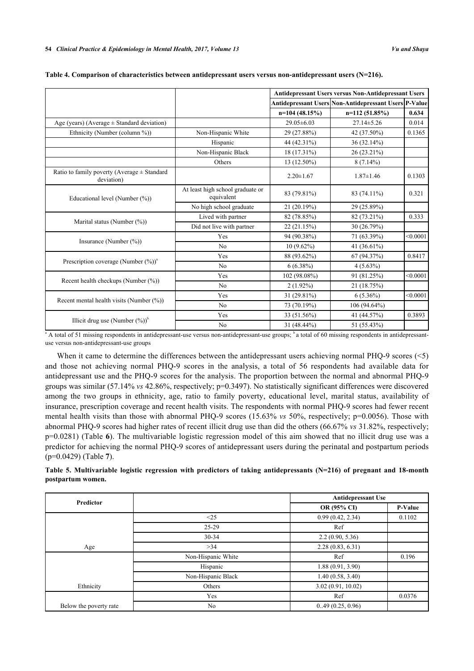|                                                               |                                                | <b>Antidepressant Users versus Non-Antidepressant Users</b> |                                                       |          |
|---------------------------------------------------------------|------------------------------------------------|-------------------------------------------------------------|-------------------------------------------------------|----------|
|                                                               |                                                |                                                             | Antidepressant Users Non-Antidepressant Users P-Value |          |
|                                                               |                                                | $n=104(48.15%)$                                             | $n=112(51.85%)$                                       | 0.634    |
| Age (years) (Average $\pm$ Standard deviation)                |                                                | 29.05 ± 6.03                                                | $27.14 \pm 5.26$                                      | 0.014    |
| Ethnicity (Number (column %))                                 | Non-Hispanic White                             | 29 (27.88%)                                                 | 42 (37.50%)                                           | 0.1365   |
|                                                               | Hispanic                                       | 44 (42.31%)                                                 | 36 (32.14%)                                           |          |
|                                                               | Non-Hispanic Black                             | 18 (17.31%)                                                 | 26 (23.21%)                                           |          |
|                                                               | Others                                         | 13 (12.50%)                                                 | $8(7.14\%)$                                           |          |
| Ratio to family poverty (Average $\pm$ Standard<br>deviation) |                                                | $2.20 \pm 1.67$                                             | $1.87 \pm 1.46$                                       | 0.1303   |
| Educational level (Number (%))                                | At least high school graduate or<br>equivalent | 83 (79.81%)                                                 | 83 (74.11%)                                           | 0.321    |
|                                                               | No high school graduate                        | 21 (20.19%)                                                 | 29 (25.89%)                                           |          |
|                                                               | Lived with partner                             | 82 (78.85%)                                                 | 82 (73.21%)                                           | 0.333    |
| Marital status (Number (%))                                   | Did not live with partner                      | 22 (21.15%)                                                 | 30 (26.79%)                                           |          |
|                                                               | Yes                                            | 94 (90.38%)                                                 | 71 (63.39%)                                           | < 0.0001 |
| Insurance (Number $(\%)$ )                                    | N <sub>0</sub>                                 | $10(9.62\%)$                                                | 41 (36.61%)                                           |          |
|                                                               | Yes                                            | 88 (93.62%)                                                 | 67 (94.37%)                                           | 0.8417   |
| Prescription coverage (Number $(\%)$ ) <sup>a</sup>           | N <sub>0</sub>                                 | $6(6.38\%)$                                                 | $4(5.63\%)$                                           |          |
|                                                               | Yes                                            | 102 (98.08%)                                                | 91 (81.25%)                                           | < 0.0001 |
| Recent health checkups (Number $(\%)$ )                       | N <sub>0</sub>                                 | $2(1.92\%)$                                                 | 21 (18.75%)                                           |          |
|                                                               | Yes                                            | 31 (29.81%)                                                 | $6(5.36\%)$                                           | < 0.0001 |
| Recent mental health visits (Number $(\%)$ )                  | N <sub>0</sub>                                 | 73 (70.19%)                                                 | 106 (94.64%)                                          |          |
|                                                               | Yes                                            | 33 (51.56%)                                                 | 41 (44.57%)                                           | 0.3893   |
| Illicit drug use (Number $(\%)$ ) <sup>b</sup>                | N <sub>0</sub>                                 | 31 (48.44%)                                                 | 51 (55.43%)                                           |          |

# <span id="page-5-0"></span>**Table 4. Comparison of characteristics between antidepressant users versus non-antidepressant users (N=216).**

 $^{\circ}$  A total of 51 missing respondents in antidepressant-use versus non-antidepressant-use groups;  $^{\circ}$  a total of 60 missing respondents in antidepressantuse versus non-antidepressant-use groups

When it came to determine the differences between the antidepressant users achieving normal PHQ-9 scores (<5) and those not achieving normal PHQ-9 scores in the analysis, a total of 56 respondents had available data for antidepressant use and the PHQ-9 scores for the analysis. The proportion between the normal and abnormal PHQ-9 groups was similar (57.14% *vs* 42.86%, respectively; p=0.3497). No statistically significant differences were discovered among the two groups in ethnicity, age, ratio to family poverty, educational level, marital status, availability of insurance, prescription coverage and recent health visits. The respondents with normal PHQ-9 scores had fewer recent mental health visits than those with abnormal PHQ-9 scores (15.63% *vs* 50%, respectively; p=0.0056). Those with abnormal PHQ-9 scores had higher rates of recent illicit drug use than did the others (66.67% *vs* 31.82%, respectively; p=0.0281) (Table **[6](#page-6-0)**). The multivariable logistic regression model of this aim showed that no illicit drug use was a predictor for achieving the normal PHQ-9 scores of antidepressant users during the perinatal and postpartum periods (p=0.0429) (Table **[7](#page-6-1)**).

<span id="page-5-1"></span>

| Table 5. Multivariable logistic regression with predictors of taking antidepressants (N=216) of pregnant and 18-month |  |  |  |  |  |
|-----------------------------------------------------------------------------------------------------------------------|--|--|--|--|--|
| postpartum women.                                                                                                     |  |  |  |  |  |

| Predictor              |                    | <b>Antidepressant Use</b> |         |
|------------------------|--------------------|---------------------------|---------|
|                        |                    | OR (95% CI)               | P-Value |
|                        | <25                | 0.99(0.42, 2.34)          | 0.1102  |
|                        | $25-29$            | Ref                       |         |
|                        | $30 - 34$          | 2.2(0.90, 5.36)           |         |
| Age                    | >34                | 2.28(0.83, 6.31)          |         |
|                        | Non-Hispanic White | Ref                       | 0.196   |
|                        | Hispanic           | 1.88(0.91, 3.90)          |         |
|                        | Non-Hispanic Black | 1.40(0.58, 3.40)          |         |
| Ethnicity              | Others             | 3.02(0.91, 10.02)         |         |
|                        | Yes                | Ref                       | 0.0376  |
| Below the poverty rate | No                 | 0.49(0.25, 0.96)          |         |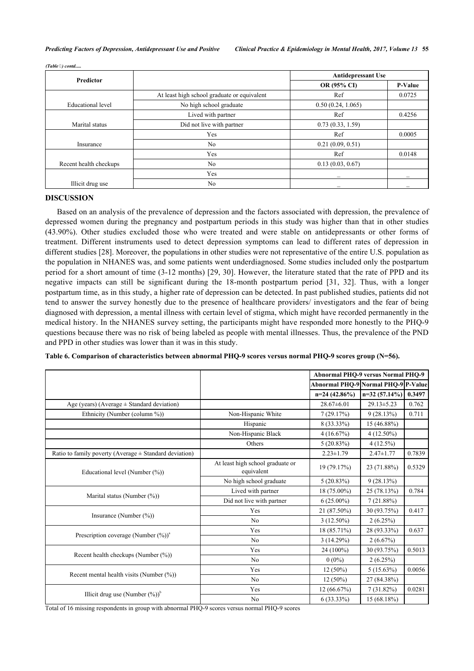|  | (Table 7) contd |
|--|-----------------|
|  |                 |

| <b>Predictor</b>         |                                             | <b>Antidepressant Use</b> |                |
|--------------------------|---------------------------------------------|---------------------------|----------------|
|                          |                                             | OR (95% CI)               | <b>P-Value</b> |
|                          | At least high school graduate or equivalent | Ref                       | 0.0725         |
| <b>Educational</b> level | No high school graduate                     | 0.50(0.24, 1.065)         |                |
|                          | Lived with partner                          | Ref                       | 0.4256         |
| Marital status           | Did not live with partner                   | 0.73(0.33, 1.59)          |                |
|                          | Yes                                         | Ref                       | 0.0005         |
| Insurance                | N <sub>o</sub>                              | 0.21(0.09, 0.51)          |                |
|                          | Yes                                         | Ref                       | 0.0148         |
| Recent health checkups   | No                                          | 0.13(0.03, 0.67)          |                |
|                          | Yes                                         |                           |                |
| Illicit drug use         | N <sub>0</sub>                              |                           |                |

## **DISCUSSION**

Based on an analysis of the prevalence of depression and the factors associated with depression, the prevalence of depressed women during the pregnancy and postpartum periods in this study was higher than that in other studies (43.90%). Other studies excluded those who were treated and were stable on antidepressants or other forms of treatment. Different instruments used to detect depression symptoms can lead to different rates of depression in different studies [\[28](#page-11-2)]. Moreover, the populations in other studies were not representative of the entire U.S. population as the population in NHANES was, and some patients went underdiagnosed. Some studies included only the postpartum period for a short amount of time (3-12 months) [[29](#page-11-3), [30](#page-11-4)]. However, the literature stated that the rate of PPD and its negative impacts can still be significant during the 18-month postpartum period[[31,](#page-11-5) [32](#page-11-6)]. Thus, with a longer postpartum time, as in this study, a higher rate of depression can be detected. In past published studies, patients did not tend to answer the survey honestly due to the presence of healthcare providers/ investigators and the fear of being diagnosed with depression, a mental illness with certain level of stigma, which might have recorded permanently in the medical history. In the NHANES survey setting, the participants might have responded more honestly to the PHQ-9 questions because there was no risk of being labeled as people with mental illnesses. Thus, the prevalence of the PND and PPD in other studies was lower than it was in this study.

<span id="page-6-0"></span>**Table 6. Comparison of characteristics between abnormal PHQ-9 scores versus normal PHQ-9 scores group (N=56).**

|                                                            |                                                | <b>Abnormal PHQ-9 versus Normal PHQ-9</b> |                  |        |
|------------------------------------------------------------|------------------------------------------------|-------------------------------------------|------------------|--------|
|                                                            |                                                | Abnormal PHQ-9 Normal PHQ-9 P-Value       |                  |        |
|                                                            |                                                | $n=24(42.86\%)$                           | $n=32(57.14\%)$  | 0.3497 |
| Age (years) (Average $\pm$ Standard deviation)             |                                                | $28.67\pm 6.01$                           | $29.13 \pm 5.23$ | 0.762  |
| Ethnicity (Number (column %))                              | Non-Hispanic White                             | 7(29.17%)                                 | 9(28.13%)        | 0.711  |
|                                                            | Hispanic                                       | 8 (33.33%)                                | 15 (46.88%)      |        |
|                                                            | Non-Hispanic Black                             | 4(16.67%)                                 | $4(12.50\%)$     |        |
|                                                            | Others                                         | $5(20.83\%)$                              | $4(12.5\%)$      |        |
| Ratio to family poverty (Average $\pm$ Standard deviation) |                                                | $2.23 \pm 1.79$                           | $2.47 \pm 1.77$  | 0.7839 |
| Educational level (Number (%))                             | At least high school graduate or<br>equivalent | 19 (79.17%)                               | 23 (71.88%)      | 0.5329 |
|                                                            | No high school graduate                        | 5(20.83%)                                 | 9(28.13%)        |        |
|                                                            | Lived with partner                             | 18 (75.00%)                               | 25 (78.13%)      | 0.784  |
| Marital status (Number $(\%)$ )                            | Did not live with partner                      | $6(25.00\%)$                              | 7(21.88%)        |        |
|                                                            | Yes                                            | 21 (87.50%)                               | 30 (93.75%)      | 0.417  |
| Insurance (Number $(\%)$ )                                 | N <sub>0</sub>                                 | $3(12.50\%)$                              | 2(6.25%)         |        |
|                                                            | Yes                                            | 18 (85.71%)                               | 28 (93.33%)      | 0.637  |
| Prescription coverage (Number $(\%)$ ) <sup>a</sup>        | N <sub>0</sub>                                 | 3(14.29%)                                 | 2(6.67%)         |        |
|                                                            | Yes                                            | 24 (100%)                                 | 30 (93.75%)      | 0.5013 |
| Recent health checkups (Number $(\%)$ )                    | N <sub>0</sub>                                 | $0(0\%)$                                  | 2(6.25%)         |        |
| Recent mental health visits (Number $(\%)$ )               | Yes                                            | $12(50\%)$                                | $5(15.63\%)$     | 0.0056 |
|                                                            | N <sub>0</sub>                                 | $12(50\%)$                                | 27 (84.38%)      |        |
|                                                            | Yes                                            | 12(66.67%)                                | $7(31.82\%)$     | 0.0281 |
| Illicit drug use (Number $(\%)$ ) <sup>b</sup>             | N <sub>0</sub>                                 | $6(33.33\%)$                              | 15 (68.18%)      |        |

<span id="page-6-1"></span>Total of 16 missing respondents in group with abnormal PHQ-9 scores versus normal PHQ-9 scores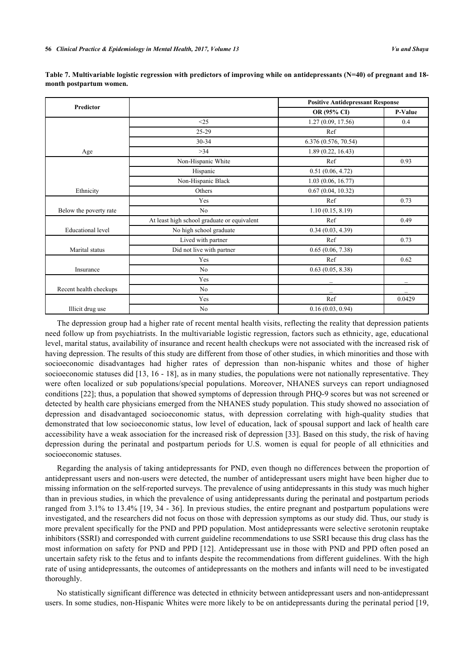| <b>Predictor</b>         |                                             | <b>Positive Antidepressant Response</b> |         |
|--------------------------|---------------------------------------------|-----------------------------------------|---------|
|                          |                                             | OR (95% CI)                             | P-Value |
|                          | <25                                         | 1.27(0.09, 17.56)                       | 0.4     |
|                          | 25-29                                       | Ref                                     |         |
|                          | 30-34                                       | 6.376 (0.576, 70.54)                    |         |
| Age                      | >34                                         | 1.89(0.22, 16.43)                       |         |
|                          | Non-Hispanic White                          | Ref                                     | 0.93    |
|                          | Hispanic                                    | 0.51(0.06, 4.72)                        |         |
|                          | Non-Hispanic Black                          | 1.03(0.06, 16.77)                       |         |
| Ethnicity                | Others                                      | 0.67(0.04, 10.32)                       |         |
|                          | Yes                                         | Ref                                     | 0.73    |
| Below the poverty rate   | No                                          | 1.10(0.15, 8.19)                        |         |
|                          | At least high school graduate or equivalent | Ref                                     | 0.49    |
| <b>Educational</b> level | No high school graduate                     | 0.34(0.03, 4.39)                        |         |
|                          | Lived with partner                          | Ref                                     | 0.73    |
| Marital status           | Did not live with partner                   | 0.65(0.06, 7.38)                        |         |
|                          | Yes                                         | Ref                                     | 0.62    |
| Insurance                | N <sub>o</sub>                              | 0.63(0.05, 8.38)                        |         |
|                          | Yes                                         |                                         |         |
| Recent health checkups   | N <sub>0</sub>                              |                                         |         |
|                          | Yes                                         | Ref                                     | 0.0429  |
| Illicit drug use         | N <sub>0</sub>                              | 0.16(0.03, 0.94)                        |         |

**Table 7. Multivariable logistic regression with predictors of improving while on antidepressants (N=40) of pregnant and 18 month postpartum women.**

The depression group had a higher rate of recent mental health visits, reflecting the reality that depression patients need follow up from psychiatrists. In the multivariable logistic regression, factors such as ethnicity, age, educational level, marital status, availability of insurance and recent health checkups were not associated with the increased risk of having depression. The results of this study are different from those of other studies, in which minorities and those with socioeconomic disadvantages had higher rates of depression than non-hispanic whites and those of higher socioeconomic statuses did [[13](#page-10-8), [16](#page-10-11) - [18\]](#page-10-12), as in many studies, the populations were not nationally representative. They were often localized or sub populations/special populations. Moreover, NHANES surveys can report undiagnosed conditions [[22\]](#page-10-16); thus, a population that showed symptoms of depression through PHQ-9 scores but was not screened or detected by health care physicians emerged from the NHANES study population. This study showed no association of depression and disadvantaged socioeconomic status, with depression correlating with high-quality studies that demonstrated that low socioeconomic status, low level of education, lack of spousal support and lack of health care accessibility have a weak association for the increased risk of depression [[33](#page-11-7)]. Based on this study, the risk of having depression during the perinatal and postpartum periods for U.S. women is equal for people of all ethnicities and socioeconomic statuses.

Regarding the analysis of taking antidepressants for PND, even though no differences between the proportion of antidepressant users and non-users were detected, the number of antidepressant users might have been higher due to missing information on the self-reported surveys. The prevalence of using antidepressants in this study was much higher than in previous studies, in which the prevalence of using antidepressants during the perinatal and postpartum periods ranged from 3.1% to 13.4% [\[19,](#page-10-13) [34](#page-11-8) - [36\]](#page-11-9). In previous studies, the entire pregnant and postpartum populations were investigated, and the researchers did not focus on those with depression symptoms as our study did. Thus, our study is more prevalent specifically for the PND and PPD population. Most antidepressants were selective serotonin reuptake inhibitors (SSRI) and corresponded with current guideline recommendations to use SSRI because this drug class has the most information on safety for PND and PPD [[12](#page-10-7)]. Antidepressant use in those with PND and PPD often posed an uncertain safety risk to the fetus and to infants despite the recommendations from different guidelines. With the high rate of using antidepressants, the outcomes of antidepressants on the mothers and infants will need to be investigated thoroughly.

No statistically significant difference was detected in ethnicity between antidepressant users and non-antidepressant users. In some studies, non-Hispanic Whites were more likely to be on antidepressants during the perinatal period [[19](#page-10-13),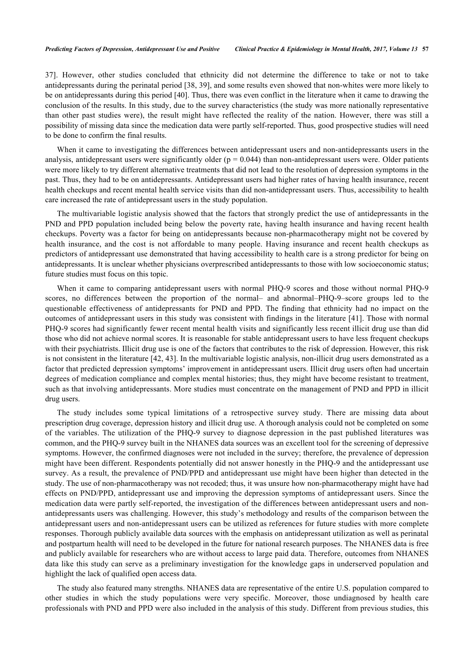[37\]](#page-11-10). However, other studies concluded that ethnicity did not determine the difference to take or not to take antidepressants during the perinatal period [[38,](#page-11-11) [39](#page-11-12)], and some results even showed that non-whites were more likely to be on antidepressants during this period [\[40](#page-11-13)]. Thus, there was even conflict in the literature when it came to drawing the conclusion of the results. In this study, due to the survey characteristics (the study was more nationally representative than other past studies were), the result might have reflected the reality of the nation. However, there was still a possibility of missing data since the medication data were partly self-reported. Thus, good prospective studies will need to be done to confirm the final results.

When it came to investigating the differences between antidepressant users and non-antidepressants users in the analysis, antidepressant users were significantly older ( $p = 0.044$ ) than non-antidepressant users were. Older patients were more likely to try different alternative treatments that did not lead to the resolution of depression symptoms in the past. Thus, they had to be on antidepressants. Antidepressant users had higher rates of having health insurance, recent health checkups and recent mental health service visits than did non-antidepressant users. Thus, accessibility to health care increased the rate of antidepressant users in the study population.

The multivariable logistic analysis showed that the factors that strongly predict the use of antidepressants in the PND and PPD population included being below the poverty rate, having health insurance and having recent health checkups. Poverty was a factor for being on antidepressants because non-pharmacotherapy might not be covered by health insurance, and the cost is not affordable to many people. Having insurance and recent health checkups as predictors of antidepressant use demonstrated that having accessibility to health care is a strong predictor for being on antidepressants. It is unclear whether physicians overprescribed antidepressants to those with low socioeconomic status; future studies must focus on this topic.

When it came to comparing antidepressant users with normal PHQ-9 scores and those without normal PHQ-9 scores, no differences between the proportion of the normal– and abnormal–PHQ-9–score groups led to the questionable effectiveness of antidepressants for PND and PPD. The finding that ethnicity had no impact on the outcomes of antidepressant users in this study was consistent with findings in the literature [\[41](#page-11-14)]. Those with normal PHQ-9 scores had significantly fewer recent mental health visits and significantly less recent illicit drug use than did those who did not achieve normal scores. It is reasonable for stable antidepressant users to have less frequent checkups with their psychiatrists. Illicit drug use is one of the factors that contributes to the risk of depression. However, this risk is not consistent in the literature [[42,](#page-11-15) [43\]](#page-11-16). In the multivariable logistic analysis, non-illicit drug users demonstrated as a factor that predicted depression symptoms' improvement in antidepressant users. Illicit drug users often had uncertain degrees of medication compliance and complex mental histories; thus, they might have become resistant to treatment, such as that involving antidepressants. More studies must concentrate on the management of PND and PPD in illicit drug users.

The study includes some typical limitations of a retrospective survey study. There are missing data about prescription drug coverage, depression history and illicit drug use. A thorough analysis could not be completed on some of the variables. The utilization of the PHQ-9 survey to diagnose depression in the past published literatures was common, and the PHQ-9 survey built in the NHANES data sources was an excellent tool for the screening of depressive symptoms. However, the confirmed diagnoses were not included in the survey; therefore, the prevalence of depression might have been different. Respondents potentially did not answer honestly in the PHQ-9 and the antidepressant use survey. As a result, the prevalence of PND/PPD and antidepressant use might have been higher than detected in the study. The use of non-pharmacotherapy was not recoded; thus, it was unsure how non-pharmacotherapy might have had effects on PND/PPD, antidepressant use and improving the depression symptoms of antidepressant users. Since the medication data were partly self-reported, the investigation of the differences between antidepressant users and nonantidepressants users was challenging. However, this study's methodology and results of the comparison between the antidepressant users and non-antidepressant users can be utilized as references for future studies with more complete responses. Thorough publicly available data sources with the emphasis on antidepressant utilization as well as perinatal and postpartum health will need to be developed in the future for national research purposes. The NHANES data is free and publicly available for researchers who are without access to large paid data. Therefore, outcomes from NHANES data like this study can serve as a preliminary investigation for the knowledge gaps in underserved population and highlight the lack of qualified open access data.

The study also featured many strengths. NHANES data are representative of the entire U.S. population compared to other studies in which the study populations were very specific. Moreover, those undiagnosed by health care professionals with PND and PPD were also included in the analysis of this study. Different from previous studies, this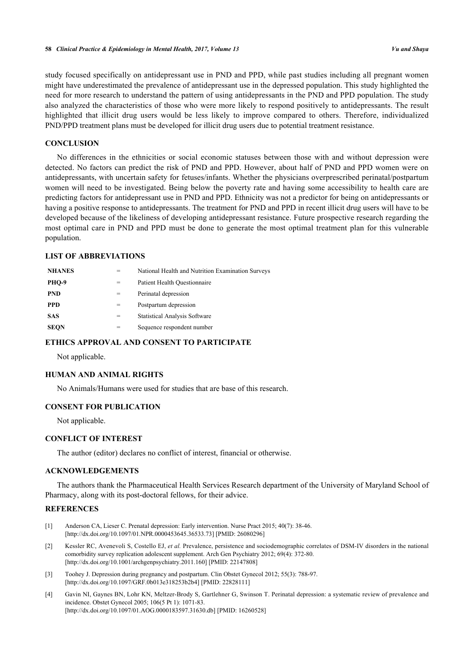study focused specifically on antidepressant use in PND and PPD, while past studies including all pregnant women might have underestimated the prevalence of antidepressant use in the depressed population. This study highlighted the need for more research to understand the pattern of using antidepressants in the PND and PPD population. The study also analyzed the characteristics of those who were more likely to respond positively to antidepressants. The result highlighted that illicit drug users would be less likely to improve compared to others. Therefore, individualized PND/PPD treatment plans must be developed for illicit drug users due to potential treatment resistance.

# **CONCLUSION**

No differences in the ethnicities or social economic statuses between those with and without depression were detected. No factors can predict the risk of PND and PPD. However, about half of PND and PPD women were on antidepressants, with uncertain safety for fetuses/infants. Whether the physicians overprescribed perinatal/postpartum women will need to be investigated. Being below the poverty rate and having some accessibility to health care are predicting factors for antidepressant use in PND and PPD. Ethnicity was not a predictor for being on antidepressants or having a positive response to antidepressants. The treatment for PND and PPD in recent illicit drug users will have to be developed because of the likeliness of developing antidepressant resistance. Future prospective research regarding the most optimal care in PND and PPD must be done to generate the most optimal treatment plan for this vulnerable population.

## **LIST OF ABBREVIATIONS**

| <b>NHANES</b> |     | National Health and Nutrition Examination Surveys |
|---------------|-----|---------------------------------------------------|
| PHO-9         | $=$ | Patient Health Ouestionnaire                      |
| <b>PND</b>    | $=$ | Perinatal depression                              |
| <b>PPD</b>    | $=$ | Postpartum depression                             |
| <b>SAS</b>    | =   | <b>Statistical Analysis Software</b>              |
| <b>SEQN</b>   |     | Sequence respondent number                        |

# **ETHICS APPROVAL AND CONSENT TO PARTICIPATE**

Not applicable.

# **HUMAN AND ANIMAL RIGHTS**

No Animals/Humans were used for studies that are base of this research.

#### **CONSENT FOR PUBLICATION**

Not applicable.

## **CONFLICT OF INTEREST**

The author (editor) declares no conflict of interest, financial or otherwise.

# **ACKNOWLEDGEMENTS**

The authors thank the Pharmaceutical Health Services Research department of the University of Maryland School of Pharmacy, along with its post-doctoral fellows, for their advice.

# **REFERENCES**

- <span id="page-9-0"></span>[1] Anderson CA, Lieser C. Prenatal depression: Early intervention. Nurse Pract 2015; 40(7): 38-46. [\[http://dx.doi.org/10.1097/01.NPR.0000453645.36533.73](http://dx.doi.org/10.1097/01.NPR.0000453645.36533.73)] [PMID: [26080296\]](http://www.ncbi.nlm.nih.gov/pubmed/26080296)
- [2] Kessler RC, Avenevoli S, Costello EJ, *et al.* Prevalence, persistence and sociodemographic correlates of DSM-IV disorders in the national comorbidity survey replication adolescent supplement. Arch Gen Psychiatry 2012; 69(4): 372-80. [\[http://dx.doi.org/10.1001/archgenpsychiatry.2011.160](http://dx.doi.org/10.1001/archgenpsychiatry.2011.160)] [PMID: [22147808](http://www.ncbi.nlm.nih.gov/pubmed/22147808)]
- [3] Toohey J. Depression during pregnancy and postpartum. Clin Obstet Gynecol 2012; 55(3): 788-97. [\[http://dx.doi.org/10.1097/GRF.0b013e318253b2b4\]](http://dx.doi.org/10.1097/GRF.0b013e318253b2b4) [PMID: [22828111](http://www.ncbi.nlm.nih.gov/pubmed/22828111)]
- [4] Gavin NI, Gaynes BN, Lohr KN, Meltzer-Brody S, Gartlehner G, Swinson T. Perinatal depression: a systematic review of prevalence and incidence. Obstet Gynecol 2005; 106(5 Pt 1): 1071-83. [\[http://dx.doi.org/10.1097/01.AOG.0000183597.31630.db](http://dx.doi.org/10.1097/01.AOG.0000183597.31630.db)] [PMID: [16260528\]](http://www.ncbi.nlm.nih.gov/pubmed/16260528)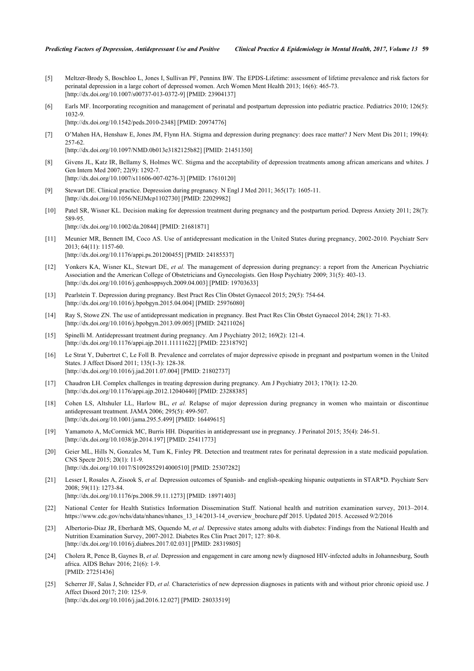- <span id="page-10-0"></span>[5] Meltzer-Brody S, Boschloo L, Jones I, Sullivan PF, Penninx BW. The EPDS-Lifetime: assessment of lifetime prevalence and risk factors for perinatal depression in a large cohort of depressed women. Arch Women Ment Health 2013; 16(6): 465-73. [\[http://dx.doi.org/10.1007/s00737-013-0372-9\]](http://dx.doi.org/10.1007/s00737-013-0372-9) [PMID: [23904137](http://www.ncbi.nlm.nih.gov/pubmed/23904137)]
- <span id="page-10-1"></span>[6] Earls MF. Incorporating recognition and management of perinatal and postpartum depression into pediatric practice. Pediatrics 2010; 126(5): 1032-9.

[\[http://dx.doi.org/10.1542/peds.2010-2348](http://dx.doi.org/10.1542/peds.2010-2348)] [PMID: [20974776\]](http://www.ncbi.nlm.nih.gov/pubmed/20974776)

<span id="page-10-2"></span>[7] O'Mahen HA, Henshaw E, Jones JM, Flynn HA. Stigma and depression during pregnancy: does race matter? J Nerv Ment Dis 2011; 199(4): 257-62.

[\[http://dx.doi.org/10.1097/NMD.0b013e3182125b82](http://dx.doi.org/10.1097/NMD.0b013e3182125b82)] [PMID: [21451350\]](http://www.ncbi.nlm.nih.gov/pubmed/21451350)

- <span id="page-10-3"></span>[8] Givens JL, Katz IR, Bellamy S, Holmes WC. Stigma and the acceptability of depression treatments among african americans and whites. J Gen Intern Med 2007; 22(9): 1292-7. [\[http://dx.doi.org/10.1007/s11606-007-0276-3\]](http://dx.doi.org/10.1007/s11606-007-0276-3) [PMID: [17610120](http://www.ncbi.nlm.nih.gov/pubmed/17610120)]
- <span id="page-10-4"></span>[9] Stewart DE. Clinical practice. Depression during pregnancy. N Engl J Med 2011; 365(17): 1605-11. [\[http://dx.doi.org/10.1056/NEJMcp1102730](http://dx.doi.org/10.1056/NEJMcp1102730)] [PMID: [22029982\]](http://www.ncbi.nlm.nih.gov/pubmed/22029982)
- <span id="page-10-5"></span>[10] Patel SR, Wisner KL. Decision making for depression treatment during pregnancy and the postpartum period. Depress Anxiety 2011; 28(7): 589-95. [\[http://dx.doi.org/10.1002/da.20844](http://dx.doi.org/10.1002/da.20844)] [PMID: [21681871\]](http://www.ncbi.nlm.nih.gov/pubmed/21681871)
- <span id="page-10-6"></span>[11] Meunier MR, Bennett IM, Coco AS. Use of antidepressant medication in the United States during pregnancy, 2002-2010. Psychiatr Serv 2013; 64(11): 1157-60. [\[http://dx.doi.org/10.1176/appi.ps.201200455\]](http://dx.doi.org/10.1176/appi.ps.201200455) [PMID: [24185537](http://www.ncbi.nlm.nih.gov/pubmed/24185537)]
- <span id="page-10-7"></span>[12] Yonkers KA, Wisner KL, Stewart DE, *et al.* The management of depression during pregnancy: a report from the American Psychiatric Association and the American College of Obstetricians and Gynecologists. Gen Hosp Psychiatry 2009; 31(5): 403-13. [\[http://dx.doi.org/10.1016/j.genhosppsych.2009.04.003](http://dx.doi.org/10.1016/j.genhosppsych.2009.04.003)] [PMID: [19703633\]](http://www.ncbi.nlm.nih.gov/pubmed/19703633)
- <span id="page-10-8"></span>[13] Pearlstein T. Depression during pregnancy. Best Pract Res Clin Obstet Gynaecol 2015; 29(5): 754-64. [\[http://dx.doi.org/10.1016/j.bpobgyn.2015.04.004](http://dx.doi.org/10.1016/j.bpobgyn.2015.04.004)] [PMID: [25976080\]](http://www.ncbi.nlm.nih.gov/pubmed/25976080)
- <span id="page-10-10"></span>[14] Ray S, Stowe ZN. The use of antidepressant medication in pregnancy. Best Pract Res Clin Obstet Gynaecol 2014; 28(1): 71-83. [\[http://dx.doi.org/10.1016/j.bpobgyn.2013.09.005](http://dx.doi.org/10.1016/j.bpobgyn.2013.09.005)] [PMID: [24211026\]](http://www.ncbi.nlm.nih.gov/pubmed/24211026)
- <span id="page-10-9"></span>[15] Spinelli M. Antidepressant treatment during pregnancy. Am J Psychiatry 2012; 169(2): 121-4. [\[http://dx.doi.org/10.1176/appi.ajp.2011.11111622](http://dx.doi.org/10.1176/appi.ajp.2011.11111622)] [PMID: [22318792\]](http://www.ncbi.nlm.nih.gov/pubmed/22318792)
- <span id="page-10-11"></span>[16] Le Strat Y, Dubertret C, Le Foll B. Prevalence and correlates of major depressive episode in pregnant and postpartum women in the United States. J Affect Disord 2011; 135(1-3): 128-38. [\[http://dx.doi.org/10.1016/j.jad.2011.07.004\]](http://dx.doi.org/10.1016/j.jad.2011.07.004) [PMID: [21802737](http://www.ncbi.nlm.nih.gov/pubmed/21802737)]
- [17] Chaudron LH. Complex challenges in treating depression during pregnancy. Am J Psychiatry 2013; 170(1): 12-20. [\[http://dx.doi.org/10.1176/appi.ajp.2012.12040440](http://dx.doi.org/10.1176/appi.ajp.2012.12040440)] [PMID: [23288385\]](http://www.ncbi.nlm.nih.gov/pubmed/23288385)
- <span id="page-10-12"></span>[18] Cohen LS, Altshuler LL, Harlow BL, *et al.* Relapse of major depression during pregnancy in women who maintain or discontinue antidepressant treatment. JAMA 2006; 295(5): 499-507. [\[http://dx.doi.org/10.1001/jama.295.5.499](http://dx.doi.org/10.1001/jama.295.5.499)] [PMID: [16449615\]](http://www.ncbi.nlm.nih.gov/pubmed/16449615)
- <span id="page-10-13"></span>[19] Yamamoto A, McCormick MC, Burris HH. Disparities in antidepressant use in pregnancy. J Perinatol 2015; 35(4): 246-51. [\[http://dx.doi.org/10.1038/jp.2014.197](http://dx.doi.org/10.1038/jp.2014.197)] [PMID: [25411773\]](http://www.ncbi.nlm.nih.gov/pubmed/25411773)
- <span id="page-10-14"></span>[20] Geier ML, Hills N, Gonzales M, Tum K, Finley PR. Detection and treatment rates for perinatal depression in a state medicaid population. CNS Spectr 2015; 20(1): 11-9. [\[http://dx.doi.org/10.1017/S1092852914000510](http://dx.doi.org/10.1017/S1092852914000510)] [PMID: [25307282\]](http://www.ncbi.nlm.nih.gov/pubmed/25307282)
- <span id="page-10-15"></span>[21] Lesser I, Rosales A, Zisook S, *et al.* Depression outcomes of Spanish- and english-speaking hispanic outpatients in STAR\*D. Psychiatr Serv 2008; 59(11): 1273-84. [\[http://dx.doi.org/10.1176/ps.2008.59.11.1273\]](http://dx.doi.org/10.1176/ps.2008.59.11.1273) [PMID: [18971403](http://www.ncbi.nlm.nih.gov/pubmed/18971403)]
- <span id="page-10-16"></span>[22] National Center for Health Statistics Information Dissemination Staff. National health and nutrition examination survey, 2013–2014. [https://www.cdc.gov/nchs/data/nhanes/nhanes\\_13\\_14/2013-14\\_overview\\_brochure.pdf](https://www.cdc.gov/nchs/data/nhanes/nhanes_13_14/2013-14_overview_brochure.pdf) 2015. Updated 2015. Accessed 9/2/2016
- <span id="page-10-17"></span>[23] Albertorio-Diaz JR, Eberhardt MS, Oquendo M, *et al.* Depressive states among adults with diabetes: Findings from the National Health and Nutrition Examination Survey, 2007-2012. Diabetes Res Clin Pract 2017; 127: 80-8. [\[http://dx.doi.org/10.1016/j.diabres.2017.02.031](http://dx.doi.org/10.1016/j.diabres.2017.02.031)] [PMID: [28319805\]](http://www.ncbi.nlm.nih.gov/pubmed/28319805)
- [24] Cholera R, Pence B, Gaynes B, *et al.* Depression and engagement in care among newly diagnosed HIV-infected adults in Johannesburg, South africa. AIDS Behav 2016; 21(6): 1-9. [PMID: [27251436\]](http://www.ncbi.nlm.nih.gov/pubmed/27251436)
- <span id="page-10-18"></span>[25] Scherrer JF, Salas J, Schneider FD, *et al.* Characteristics of new depression diagnoses in patients with and without prior chronic opioid use. J Affect Disord 2017; 210: 125-9. [\[http://dx.doi.org/10.1016/j.jad.2016.12.027\]](http://dx.doi.org/10.1016/j.jad.2016.12.027) [PMID: [28033519](http://www.ncbi.nlm.nih.gov/pubmed/28033519)]